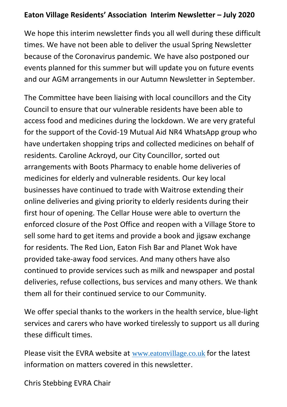## **Eaton Village Residents' Association Interim Newsletter – July 2020**

We hope this interim newsletter finds you all well during these difficult times. We have not been able to deliver the usual Spring Newsletter because of the Coronavirus pandemic. We have also postponed our events planned for this summer but will update you on future events and our AGM arrangements in our Autumn Newsletter in September.

The Committee have been liaising with local councillors and the City Council to ensure that our vulnerable residents have been able to access food and medicines during the lockdown. We are very grateful for the support of the Covid-19 Mutual Aid NR4 WhatsApp group who have undertaken shopping trips and collected medicines on behalf of residents. Caroline Ackroyd, our City Councillor, sorted out arrangements with Boots Pharmacy to enable home deliveries of medicines for elderly and vulnerable residents. Our key local businesses have continued to trade with Waitrose extending their online deliveries and giving priority to elderly residents during their first hour of opening. The Cellar House were able to overturn the enforced closure of the Post Office and reopen with a Village Store to sell some hard to get items and provide a book and jigsaw exchange for residents. The Red Lion, Eaton Fish Bar and Planet Wok have provided take-away food services. And many others have also continued to provide services such as milk and newspaper and postal deliveries, refuse collections, bus services and many others. We thank them all for their continued service to our Community.

We offer special thanks to the workers in the health service, blue-light services and carers who have worked tirelessly to support us all during these difficult times.

Please visit the EVRA website at [www.eatonvillage.co.uk](http://www.eatonvillage.co.uk/) for the latest information on matters covered in this newsletter.

Chris Stebbing EVRA Chair